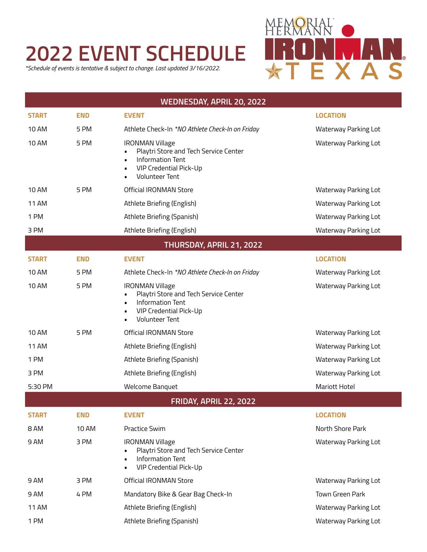## **2022 EVENT SCHEDULE**

*\*Schedule of events is tentative & subject to change. Last updated 3/16/2022.*



| <b>WEDNESDAY, APRIL 20, 2022</b> |            |                                                                                                                                                      |                             |  |  |
|----------------------------------|------------|------------------------------------------------------------------------------------------------------------------------------------------------------|-----------------------------|--|--|
| <b>START</b>                     | <b>END</b> | <b>EVENT</b>                                                                                                                                         | <b>LOCATION</b>             |  |  |
| <b>10 AM</b>                     | 5 PM       | Athlete Check-In *NO Athlete Check-In on Friday                                                                                                      | Waterway Parking Lot        |  |  |
| <b>10 AM</b>                     | 5 PM       | <b>IRONMAN Village</b><br>Playtri Store and Tech Service Center<br><b>Information Tent</b><br><b>VIP Credential Pick-Up</b><br><b>Volunteer Tent</b> | Waterway Parking Lot        |  |  |
| <b>10 AM</b>                     | 5 PM       | <b>Official IRONMAN Store</b>                                                                                                                        | Waterway Parking Lot        |  |  |
| <b>11 AM</b>                     |            | Athlete Briefing (English)                                                                                                                           | Waterway Parking Lot        |  |  |
| 1 PM                             |            | Athlete Briefing (Spanish)                                                                                                                           | Waterway Parking Lot        |  |  |
| 3 PM                             |            | Athlete Briefing (English)                                                                                                                           | Waterway Parking Lot        |  |  |
| THURSDAY, APRIL 21, 2022         |            |                                                                                                                                                      |                             |  |  |
| <b>START</b>                     | <b>END</b> | <b>EVENT</b>                                                                                                                                         | <b>LOCATION</b>             |  |  |
| <b>10 AM</b>                     | 5 PM       | Athlete Check-In *NO Athlete Check-In on Friday                                                                                                      | Waterway Parking Lot        |  |  |
| <b>10 AM</b>                     | 5 PM       | <b>IRONMAN Village</b><br>Playtri Store and Tech Service Center<br><b>Information Tent</b><br><b>VIP Credential Pick-Up</b><br><b>Volunteer Tent</b> | Waterway Parking Lot        |  |  |
| <b>10 AM</b>                     | 5 PM       | Official IRONMAN Store                                                                                                                               | Waterway Parking Lot        |  |  |
| <b>11 AM</b>                     |            | Athlete Briefing (English)                                                                                                                           | Waterway Parking Lot        |  |  |
| 1 PM                             |            | Athlete Briefing (Spanish)                                                                                                                           | Waterway Parking Lot        |  |  |
| 3 PM                             |            | Athlete Briefing (English)                                                                                                                           | Waterway Parking Lot        |  |  |
| 5:30 PM                          |            | <b>Welcome Banquet</b>                                                                                                                               | <b>Mariott Hotel</b>        |  |  |
| <b>FRIDAY, APRIL 22, 2022</b>    |            |                                                                                                                                                      |                             |  |  |
| <b>START</b>                     | <b>END</b> | <b>EVENT</b>                                                                                                                                         | <b>LOCATION</b>             |  |  |
| 8 AM                             | 10 AM      | <b>Practice Swim</b>                                                                                                                                 | North Shore Park            |  |  |
| 9 AM                             | 3 PM       | <b>IRONMAN Village</b><br>Playtri Store and Tech Service Center<br><b>Information Tent</b><br><b>VIP Credential Pick-Up</b>                          | <b>Waterway Parking Lot</b> |  |  |
| 9 AM                             | 3 PM       | <b>Official IRONMAN Store</b>                                                                                                                        | Waterway Parking Lot        |  |  |
| 9 AM                             | 4 PM       | Mandatory Bike & Gear Bag Check-In                                                                                                                   | Town Green Park             |  |  |
| <b>11 AM</b>                     |            | Athlete Briefing (English)                                                                                                                           | Waterway Parking Lot        |  |  |
| 1 PM                             |            | Athlete Briefing (Spanish)                                                                                                                           | Waterway Parking Lot        |  |  |